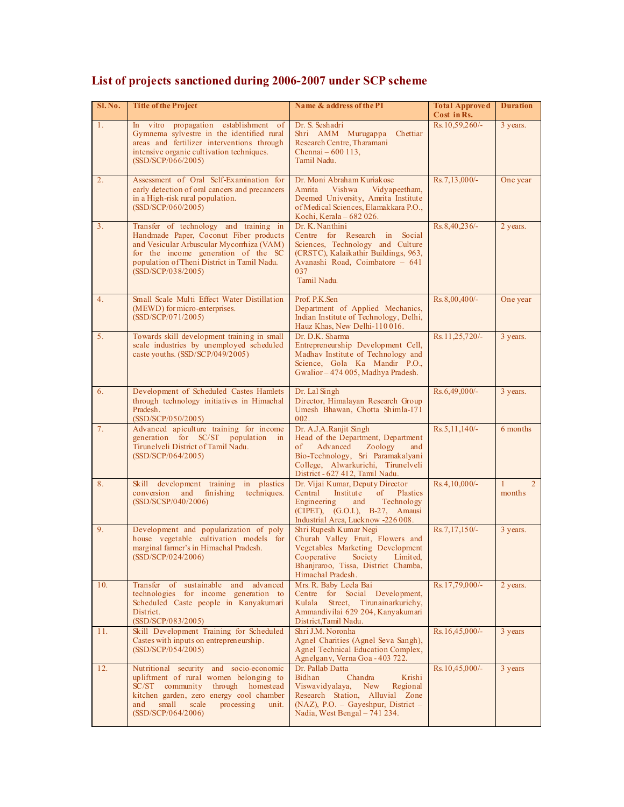| S1. No.        | <b>Title of the Project</b>                                                                                                                                                                                                                 | Name & address of the PI                                                                                                                                                                                       | <b>Total Approved</b><br>Cost in Rs. | <b>Duration</b>                |
|----------------|---------------------------------------------------------------------------------------------------------------------------------------------------------------------------------------------------------------------------------------------|----------------------------------------------------------------------------------------------------------------------------------------------------------------------------------------------------------------|--------------------------------------|--------------------------------|
| 1.             | In vitro propagation establishment of<br>Gymnema sylvestre in the identified rural<br>areas and fertilizer interventions through<br>intensive organic cultivation techniques.<br>(SSD/SCP/066/2005)                                         | Dr. S. Seshadri<br>Shri AMM Murugappa<br>Chettiar<br>Research Centre, Tharamani<br>Chennai – 600 113,<br>Tamil Nadu.                                                                                           | Rs.10,59,260/-                       | 3 years.                       |
| 2.             | Assessment of Oral Self-Examination for<br>early detection of oral cancers and precancers<br>in a High-risk rural population.<br>(SSD/SCP/060/2005)                                                                                         | Dr. Moni Abraham Kuriakose<br>Vidvapeetham.<br>Amrita<br>Vishwa<br>Deemed University, Amrita Institute<br>of Medical Sciences, Elamakkara P.O.,<br>Kochi, Kerala – 682 026.                                    | $Rs.7,13,000/-$                      | One year                       |
| 3 <sub>1</sub> | Transfer of technology and training in<br>Handmade Paper, Coconut Fiber products<br>and Vesicular Arbuscular Mycorrhiza (VAM)<br>for the income generation of the SC<br>population of Theni District in Tamil Nadu.<br>(SSD/SCP/038/2005)   | Dr. K. Nanthini<br>Centre for Research in Social<br>Sciences, Technology and Culture<br>(CRSTC), Kalaikathir Buildings, 963,<br>Avanashi Road, Coimbatore - 641<br>037<br>Tamil Nadu.                          | Rs.8,40,236/-                        | 2 years.                       |
| 4.             | Small Scale Multi Effect Water Distillation<br>(MEWD) for micro-enterprises.<br>(SSD/SCP/071/2005)                                                                                                                                          | Prof. P.K.Sen<br>Department of Applied Mechanics,<br>Indian Institute of Technology, Delhi,<br>Hauz Khas, New Delhi-110016.                                                                                    | Rs.8,00,400/-                        | One year                       |
| 5.             | Towards skill development training in small<br>scale industries by unemployed scheduled<br>caste youths. (SSD/SCP/049/2005)                                                                                                                 | Dr. D.K. Sharma<br>Entrepreneurship Development Cell,<br>Madhav Institute of Technology and<br>Science, Gola Ka Mandir P.O.,<br>Gwalior - 474 005, Madhya Pradesh.                                             | Rs.11,25,720/-                       | 3 years.                       |
| 6.             | Development of Scheduled Castes Hamlets<br>through technology initiatives in Himachal<br>Pradesh.<br>(SSD/SCP/050/2005)                                                                                                                     | Dr. Lal Singh<br>Director, Himalayan Research Group<br>Umesh Bhawan, Chotta Shimla-171<br>002.                                                                                                                 | Rs.6,49,000/-                        | 3 years.                       |
| 7.             | Advanced apiculture training for income<br>generation for SC/ST population<br>in<br>Tirunelveli District of Tamil Nadu.<br>(SSD/SCP/064/2005)                                                                                               | Dr. A.J.A.Ranjit Singh<br>Head of the Department, Department<br>Advanced<br>Zoology<br>of<br>and<br>Bio-Technology, Sri Paramakalyani<br>College, Alwarkurichi, Tirunelveli<br>District - 627 412, Tamil Nadu. | Rs.5, 11, 140/-                      | 6 months                       |
| 8.             | Skill development training<br>in plastics<br>conversion<br>and<br>finishing<br>techniques.<br>(SSD/SCSP/040/2006)                                                                                                                           | Dr. Vijai Kumar, Deputy Director<br>Central Institute of<br><b>Plastics</b><br>Engineering<br>and<br>Technology<br>(CIPET), (G.O.I.), B-27, Amausi<br>Industrial Area, Lucknow -226 008.                       | Rs.4,10,000/-                        | $\mathfrak{D}$<br>-1<br>months |
| 9.             | Development and popularization of poly<br>house vegetable cultivation models for<br>marginal farmer's in Himachal Pradesh.<br>(SSD/SCP/024/2006)                                                                                            | Shri Rupesh Kumar Negi<br>Churah Valley Fruit, Flowers and<br>Vegetables Marketing Development<br>Cooperative<br>Society<br>Limited,<br>Bhanjraroo, Tissa, District Chamba,<br>Himachal Pradesh.               | $Rs.7,17,150/-$                      | 3 years.                       |
| 10.            | Transfer of sustainable and<br>advanced<br>technologies for income generation to<br>Scheduled Caste people in Kanyakumari<br>District.<br>(SSD/SCP/083/2005)                                                                                | Mrs. R. Baby Leela Bai<br>Centre for Social Development,<br>Kulala<br>Street, Tirunainarkurichy,<br>Ammandivilai 629 204, Kanyakumari<br>District, Tamil Nadu.                                                 | Rs.17,79,000/-                       | 2 years.                       |
| 11.            | Skill Development Training for Scheduled<br>Castes with inputs on entrepreneurship.<br>(SSD/SCP/054/2005)                                                                                                                                   | Shri J.M. Noronha<br>Agnel Charities (Agnel Seva Sangh),<br>Agnel Technical Education Complex,<br>Agnelgany, Verna Goa - 403 722.                                                                              | Rs.16,45,000/-                       | 3 years                        |
| 12.            | Nutritional security and socio-economic<br>upliftment of rural women belonging to<br>through homestead<br>SC/ST community<br>kitchen garden, zero energy cool chamber<br>small<br>and<br>scale<br>processing<br>unit.<br>(SSD/SCP/064/2006) | Dr. Pallab Datta<br><b>Bidhan</b><br>Chandra<br>Krishi<br>Viswavidyalaya,<br>New<br>Regional<br>Research Station, Alluvial Zone<br>$(NAZ)$ , P.O. – Gayeshpur, District –<br>Nadia, West Bengal - 741 234.     | Rs.10,45,000/-                       | 3 years                        |

## **List of projects sanctioned during 2006-2007 under SCP scheme**